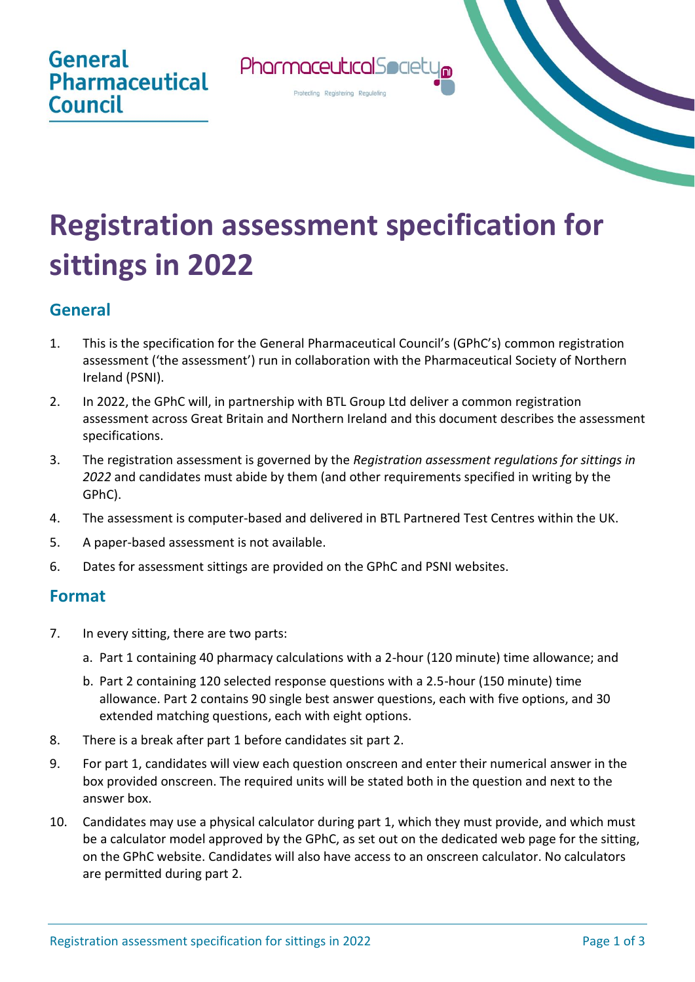

## **Registration assessment specification for sittings in 2022**

## **General**

- 1. This is the specification for the General Pharmaceutical Council's (GPhC's) common registration assessment ('the assessment') run in collaboration with the Pharmaceutical Society of Northern Ireland (PSNI).
- 2. In 2022, the GPhC will, in partnership with BTL Group Ltd deliver a common registration assessment across Great Britain and Northern Ireland and this document describes the assessment specifications.
- 3. The registration assessment is governed by the *Registration assessment regulations for sittings in 2022* and candidates must abide by them (and other requirements specified in writing by the GPhC).
- 4. The assessment is computer-based and delivered in BTL Partnered Test Centres within the UK.
- 5. A paper-based assessment is not available.
- 6. Dates for assessment sittings are provided on the GPhC and PSNI websites.

## **Format**

- 7. In every sitting, there are two parts:
	- a. Part 1 containing 40 pharmacy calculations with a 2-hour (120 minute) time allowance; and
	- b. Part 2 containing 120 selected response questions with a 2.5-hour (150 minute) time allowance. Part 2 contains 90 single best answer questions, each with five options, and 30 extended matching questions, each with eight options.
- 8. There is a break after part 1 before candidates sit part 2.
- 9. For part 1, candidates will view each question onscreen and enter their numerical answer in the box provided onscreen. The required units will be stated both in the question and next to the answer box.
- 10. Candidates may use a physical calculator during part 1, which they must provide, and which must be a calculator model approved by the GPhC, as set out on the dedicated web page for the sitting, on the GPhC website. Candidates will also have access to an onscreen calculator. No calculators are permitted during part 2.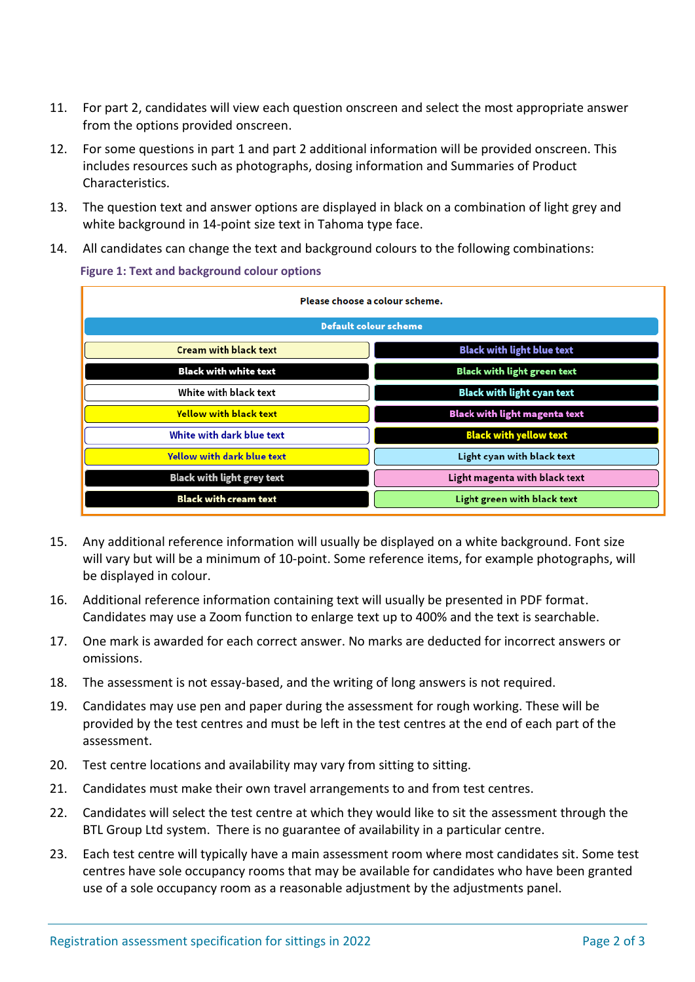- 11. For part 2, candidates will view each question onscreen and select the most appropriate answer from the options provided onscreen.
- 12. For some questions in part 1 and part 2 additional information will be provided onscreen. This includes resources such as photographs, dosing information and Summaries of Product Characteristics.
- 13. The question text and answer options are displayed in black on a combination of light grey and white background in 14-point size text in Tahoma type face.
- 14. All candidates can change the text and background colours to the following combinations:

**Figure 1: Text and background colour options**

| Please choose a colour scheme.    |                                      |
|-----------------------------------|--------------------------------------|
| <b>Default colour scheme</b>      |                                      |
| <b>Cream with black text</b>      | <b>Black with light blue text</b>    |
| <b>Black with white text</b>      | <b>Black with light green text</b>   |
| White with black text             | Black with light cyan text           |
| <b>Yellow with black text</b>     | <b>Black with light magenta text</b> |
| White with dark blue text         | <b>Black with yellow text</b>        |
| <b>Yellow with dark blue text</b> | Light cyan with black text           |
| <b>Black with light grey text</b> | Light magenta with black text        |
| <b>Black with cream text</b>      | Light green with black text          |

- 15. Any additional reference information will usually be displayed on a white background. Font size will vary but will be a minimum of 10-point. Some reference items, for example photographs, will be displayed in colour.
- 16. Additional reference information containing text will usually be presented in PDF format. Candidates may use a Zoom function to enlarge text up to 400% and the text is searchable.
- 17. One mark is awarded for each correct answer. No marks are deducted for incorrect answers or omissions.
- 18. The assessment is not essay-based, and the writing of long answers is not required.
- 19. Candidates may use pen and paper during the assessment for rough working. These will be provided by the test centres and must be left in the test centres at the end of each part of the assessment.
- 20. Test centre locations and availability may vary from sitting to sitting.
- 21. Candidates must make their own travel arrangements to and from test centres.
- 22. Candidates will select the test centre at which they would like to sit the assessment through the BTL Group Ltd system. There is no guarantee of availability in a particular centre.
- 23. Each test centre will typically have a main assessment room where most candidates sit. Some test centres have sole occupancy rooms that may be available for candidates who have been granted use of a sole occupancy room as a reasonable adjustment by the adjustments panel.